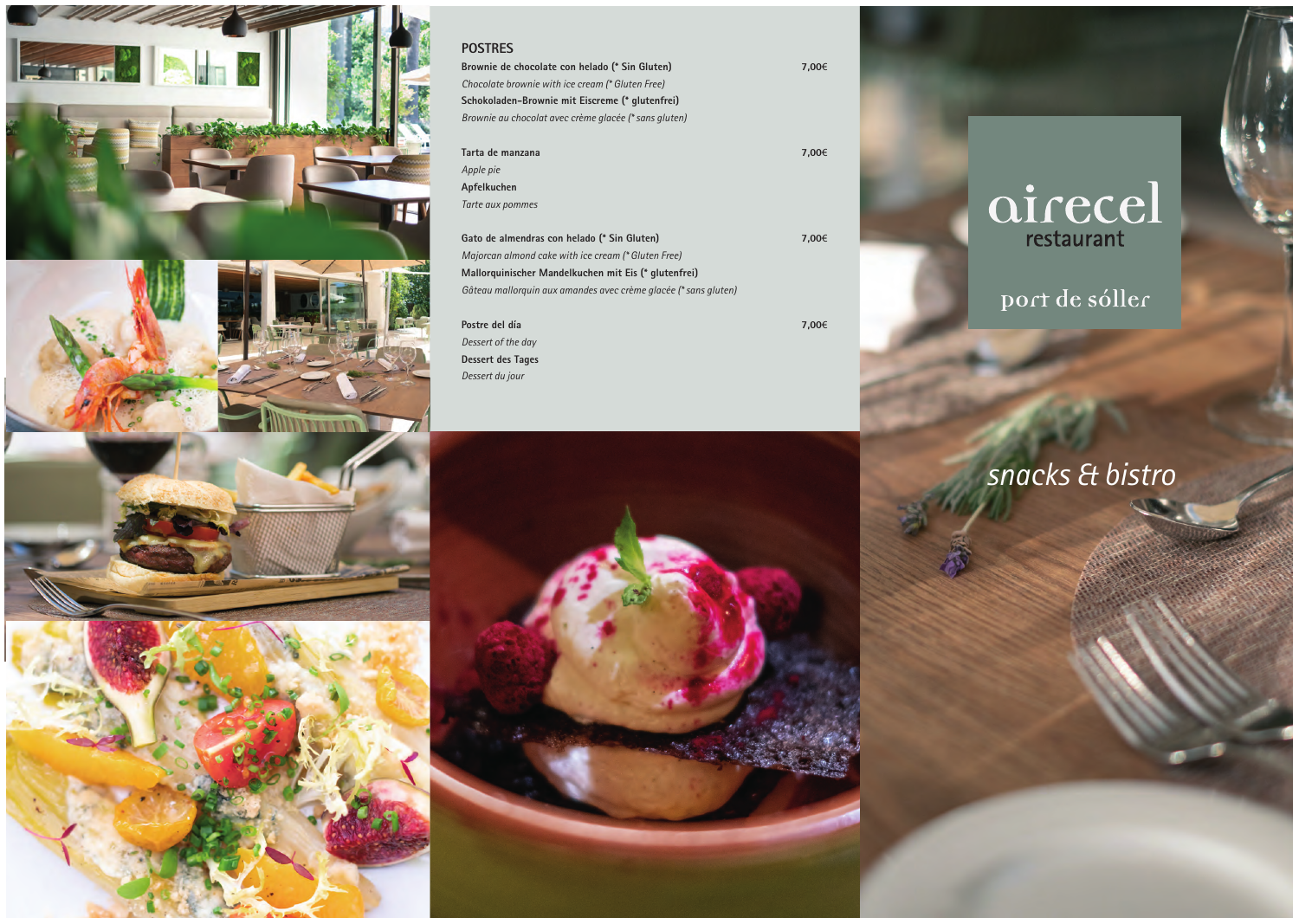

#### **POSTRES**

| Brownie de chocolate con helado (* Sin Gluten)        | 7.00€ |
|-------------------------------------------------------|-------|
| Chocolate brownie with ice cream (* Gluten Free)      |       |
| Schokoladen-Brownie mit Eiscreme (* glutenfrei)       |       |
| Brownie au chocolat avec crème glacée (* sans gluten) |       |
| Tarta de manzana                                      | 7.00€ |
| Apple pie                                             |       |

**Apfelkuchen**  *Tarte aux pommes*

| Gato de almendras con helado (* Sin Gluten)                     | 7.00€ |
|-----------------------------------------------------------------|-------|
| Majorcan almond cake with ice cream (* Gluten Free)             |       |
| Mallorquinischer Mandelkuchen mit Eis (* glutenfrei)            |       |
| Gâteau mallorquin aux amandes avec crème glacée (* sans gluten) |       |
|                                                                 |       |

| Postre del día           | 7,00€ |
|--------------------------|-------|
| Dessert of the day       |       |
| <b>Dessert des Tages</b> |       |
| Dessert du jour          |       |



# airecel

### port de sóller

## *snacks & bistro*